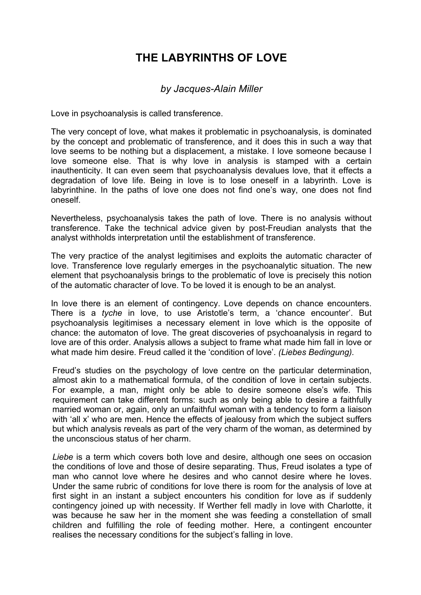## **THE LABYRINTHS OF LOVE**

## *by Jacques-Alain Miller*

Love in psychoanalysis is called transference.

The very concept of love, what makes it problematic in psychoanalysis, is dominated by the concept and problematic of transference, and it does this in such a way that love seems to be nothing but a displacement, a mistake. I love someone because I love someone else. That is why love in analysis is stamped with a certain inauthenticity. It can even seem that psychoanalysis devalues love, that it effects a degradation of love life. Being in love is to lose oneself in a labyrinth. Love is labyrinthine. In the paths of love one does not find one's way, one does not find oneself.

Nevertheless, psychoanalysis takes the path of love. There is no analysis without transference. Take the technical advice given by post-Freudian analysts that the analyst withholds interpretation until the establishment of transference.

The very practice of the analyst legitimises and exploits the automatic character of love. Transference love regularly emerges in the psychoanalytic situation. The new element that psychoanalysis brings to the problematic of love is precisely this notion of the automatic character of love. To be loved it is enough to be an analyst.

In love there is an element of contingency. Love depends on chance encounters. There is a *tyche* in love, to use Aristotle's term, a 'chance encounter'. But psychoanalysis legitimises a necessary element in love which is the opposite of chance: the automaton of love. The great discoveries of psychoanalysis in regard to love are of this order. Analysis allows a subject to frame what made him fall in love or what made him desire. Freud called it the 'condition of love'. *(Liebes Bedingung).*

Freud's studies on the psychology of love centre on the particular determination, almost akin to a mathematical formula, of the condition of love in certain subjects. For example, a man, might only be able to desire someone else's wife. This requirement can take different forms: such as only being able to desire a faithfully married woman or, again, only an unfaithful woman with a tendency to form a liaison with 'all x' who are men. Hence the effects of jealousy from which the subject suffers but which analysis reveals as part of the very charm of the woman, as determined by the unconscious status of her charm.

*Liebe* is a term which covers both love and desire, although one sees on occasion the conditions of love and those of desire separating. Thus, Freud isolates a type of man who cannot love where he desires and who cannot desire where he loves. Under the same rubric of conditions for love there is room for the analysis of love at first sight in an instant a subject encounters his condition for love as if suddenly contingency joined up with necessity. If Werther fell madly in love with Charlotte, it was because he saw her in the moment she was feeding a constellation of small children and fulfilling the role of feeding mother. Here, a contingent encounter realises the necessary conditions for the subject's falling in love.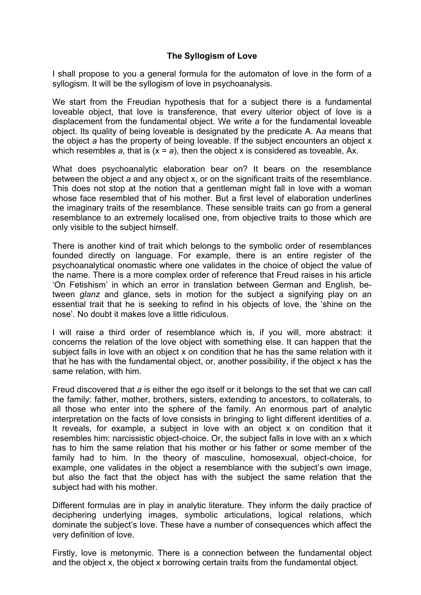## **The Syllogism of Love**

I shall propose to you a general formula for the automaton of love in the form of a syllogism. It will be the syllogism of love in psychoanalysis.

We start from the Freudian hypothesis that for a subject there is a fundamental loveable object, that love is transference, that every ulterior object of love is a displacement from the fundamental object. We write *a* for the fundamental loveable object. Its quality of being loveable is designated by the predicate A. A*a* means that the object *a* has the property of being loveable. If the subject encounters an object x which resembles *a*, that is (x = *a*), then the object x is considered as toveable, Ax.

What does psychoanalytic elaboration bear on? It bears on the resemblance between the object *a* and any object x, or on the significant traits of the resemblance. This does not stop at the notion that a gentleman might fall in love with a woman whose face resembled that of his mother. But a first level of elaboration underlines the imaginary traits of the resemblance. These sensible traits can go from a general resemblance to an extremely localised one, from objective traits to those which are only visible to the subject himself.

There is another kind of trait which belongs to the symbolic order of resemblances founded directly on language. For example, there is an entire register of the psychoanalytical onomastic where one validates in the choice of object the value of the name. There is a more complex order of reference that Freud raises in his article 'On Fetishism' in which an error in translation between German and English, between *glanz* and glance, sets in motion for the subject a signifying play on an essential trait that he is seeking to refind in his objects of love, the 'shine on the nose'. No doubt it makes love a little ridiculous.

I will raise a third order of resemblance which is, if you will, more abstract: it concerns the relation of the love object with something else. It can happen that the subject falls in love with an object x on condition that he has the same relation with it that he has with the fundamental object, or, another possibility, if the object x has the same relation, with him.

Freud discovered that *a* is either the ego itself or it belongs to the set that we can call the family: father, mother, brothers, sisters, extending to ancestors, to collaterals, to all those who enter into the sphere of the family. An enormous part of analytic interpretation on the facts of love consists in bringing to light different identities of *a*. It reveals, for example, a subject in love with an object x on condition that it resembles him: narcissistic object-choice. Or, the subject falls in love with an x which has to him the same relation that his mother or his father or some member of the family had to him. In the theory of masculine, homosexual, object-choice, for example, one validates in the object a resemblance with the subject's own image, but also the fact that the object has with the subject the same relation that the subject had with his mother.

Different formulas are in play in analytic literature. They inform the daily practice of deciphering underlying images, symbolic articulations, logical relations, which dominate the subject's love. These have a number of consequences which affect the very definition of love.

Firstly, love is metonymic. There is a connection between the fundamental object and the object x, the object x borrowing certain traits from the fundamental object.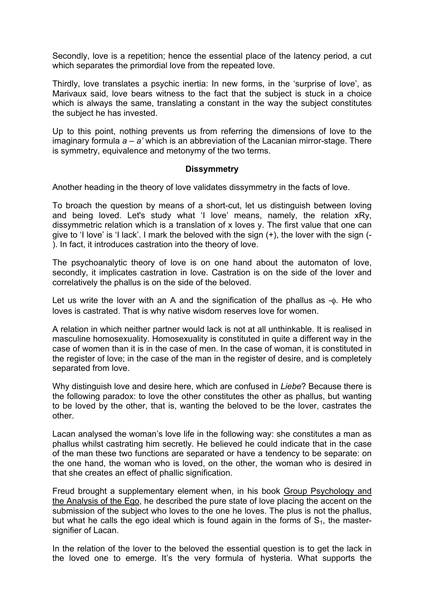Secondly, love is a repetition; hence the essential place of the latency period, a cut which separates the primordial love from the repeated love.

Thirdly, love translates a psychic inertia: In new forms, in the 'surprise of love', as Marivaux said, love bears witness to the fact that the subject is stuck in a choice which is always the same, translating a constant in the way the subject constitutes the subject he has invested.

Up to this point, nothing prevents us from referring the dimensions of love to the imaginary formula *a* – *a'* which is an abbreviation of the Lacanian mirror-stage. There is symmetry, equivalence and metonymy of the two terms.

## **Dissymmetry**

Another heading in the theory of love validates dissymmetry in the facts of love.

To broach the question by means of a short-cut, let us distinguish between loving and being loved. Let's study what 'I love' means, namely, the relation xRy, dissymmetric relation which is a translation of x loves y. The first value that one can give to 'I love' is 'I lack'. I mark the beloved with the sign (+), the lover with the sign (- ). In fact, it introduces castration into the theory of love.

The psychoanalytic theory of love is on one hand about the automaton of love, secondly, it implicates castration in love. Castration is on the side of the lover and correlatively the phallus is on the side of the beloved.

Let us write the lover with an A and the signification of the phallus as -φ. He who loves is castrated. That is why native wisdom reserves love for women.

A relation in which neither partner would lack is not at all unthinkable. It is realised in masculine homosexuality. Homosexuality is constituted in quite a different way in the case of women than it is in the case of men. In the case of woman, it is constituted in the register of love; in the case of the man in the register of desire, and is completely separated from love.

Why distinguish love and desire here, which are confused in *Liebe*? Because there is the following paradox: to love the other constitutes the other as phallus, but wanting to be loved by the other, that is, wanting the beloved to be the lover, castrates the other.

Lacan analysed the woman's love life in the following way: she constitutes a man as phallus whilst castrating him secretly. He believed he could indicate that in the case of the man these two functions are separated or have a tendency to be separate: on the one hand, the woman who is loved, on the other, the woman who is desired in that she creates an effect of phallic signification.

Freud brought a supplementary element when, in his book Group Psychology and the Analysis of the Ego, he described the pure state of love placing the accent on the submission of the subject who loves to the one he loves. The plus is not the phallus, but what he calls the ego ideal which is found again in the forms of  $S<sub>1</sub>$ , the mastersignifier of Lacan.

In the relation of the lover to the beloved the essential question is to get the lack in the loved one to emerge. It's the very formula of hysteria. What supports the